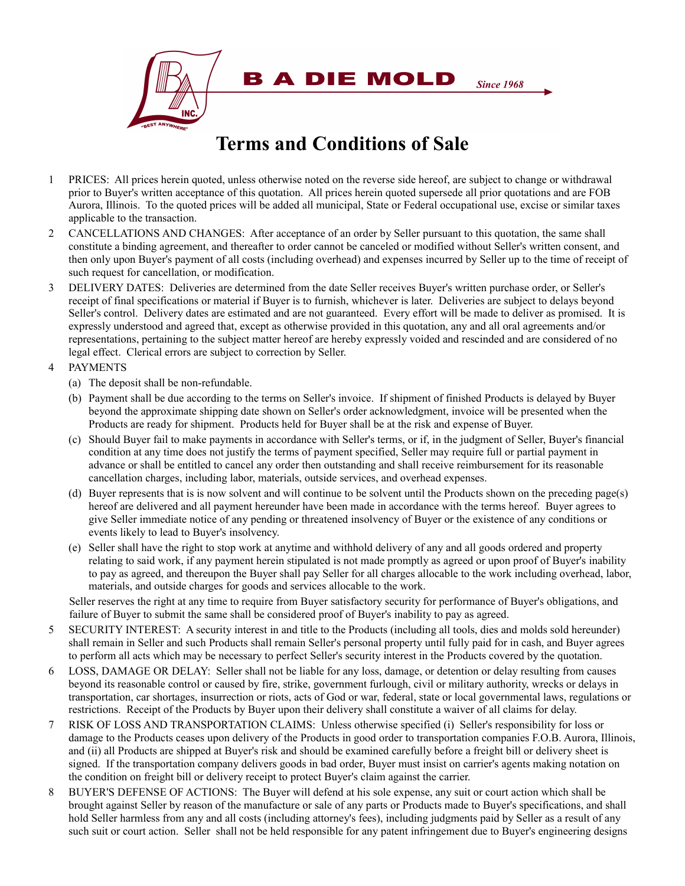**B A DIE MOLD Since 1968** 

## **Terms and Conditions of Sale**

- 1 PRICES: All prices herein quoted, unless otherwise noted on the reverse side hereof, are subject to change or withdrawal prior to Buyer's written acceptance of this quotation. All prices herein quoted supersede all prior quotations and are FOB Aurora, Illinois. To the quoted prices will be added all municipal, State or Federal occupational use, excise or similar taxes applicable to the transaction.
- 2 CANCELLATIONS AND CHANGES: After acceptance of an order by Seller pursuant to this quotation, the same shall constitute a binding agreement, and thereafter to order cannot be canceled or modified without Seller's written consent, and then only upon Buyer's payment of all costs (including overhead) and expenses incurred by Seller up to the time of receipt of such request for cancellation, or modification.
- 3 DELIVERY DATES: Deliveries are determined from the date Seller receives Buyer's written purchase order, or Seller's receipt of final specifications or material if Buyer is to furnish, whichever is later. Deliveries are subject to delays beyond Seller's control. Delivery dates are estimated and are not guaranteed. Every effort will be made to deliver as promised. It is expressly understood and agreed that, except as otherwise provided in this quotation, any and all oral agreements and/or representations, pertaining to the subject matter hereof are hereby expressly voided and rescinded and are considered of no legal effect. Clerical errors are subject to correction by Seller.

## 4 PAYMENTS

(a) The deposit shall be non-refundable.

**INC** 

- (b) Payment shall be due according to the terms on Seller's invoice. If shipment of finished Products is delayed by Buyer beyond the approximate shipping date shown on Seller's order acknowledgment, invoice will be presented when the Products are ready for shipment. Products held for Buyer shall be at the risk and expense of Buyer.
- (c) Should Buyer fail to make payments in accordance with Seller's terms, or if, in the judgment of Seller, Buyer's financial condition at any time does not justify the terms of payment specified, Seller may require full or partial payment in advance or shall be entitled to cancel any order then outstanding and shall receive reimbursement for its reasonable cancellation charges, including labor, materials, outside services, and overhead expenses.
- (d) Buyer represents that is is now solvent and will continue to be solvent until the Products shown on the preceding page(s) hereof are delivered and all payment hereunder have been made in accordance with the terms hereof. Buyer agrees to give Seller immediate notice of any pending or threatened insolvency of Buyer or the existence of any conditions or events likely to lead to Buyer's insolvency.
- (e) Seller shall have the right to stop work at anytime and withhold delivery of any and all goods ordered and property relating to said work, if any payment herein stipulated is not made promptly as agreed or upon proof of Buyer's inability to pay as agreed, and thereupon the Buyer shall pay Seller for all charges allocable to the work including overhead, labor, materials, and outside charges for goods and services allocable to the work.

Seller reserves the right at any time to require from Buyer satisfactory security for performance of Buyer's obligations, and failure of Buyer to submit the same shall be considered proof of Buyer's inability to pay as agreed.

- 5 SECURITY INTEREST: A security interest in and title to the Products (including all tools, dies and molds sold hereunder) shall remain in Seller and such Products shall remain Seller's personal property until fully paid for in cash, and Buyer agrees to perform all acts which may be necessary to perfect Seller's security interest in the Products covered by the quotation.
- 6 LOSS, DAMAGE OR DELAY: Seller shall not be liable for any loss, damage, or detention or delay resulting from causes beyond its reasonable control or caused by fire, strike, government furlough, civil or military authority, wrecks or delays in transportation, car shortages, insurrection or riots, acts of God or war, federal, state or local governmental laws, regulations or restrictions. Receipt of the Products by Buyer upon their delivery shall constitute a waiver of all claims for delay.
- 7 RISK OF LOSS AND TRANSPORTATION CLAIMS: Unless otherwise specified (i) Seller's responsibility for loss or damage to the Products ceases upon delivery of the Products in good order to transportation companies F.O.B. Aurora, Illinois, and (ii) all Products are shipped at Buyer's risk and should be examined carefully before a freight bill or delivery sheet is signed. If the transportation company delivers goods in bad order, Buyer must insist on carrier's agents making notation on the condition on freight bill or delivery receipt to protect Buyer's claim against the carrier.
- 8 BUYER'S DEFENSE OF ACTIONS: The Buyer will defend at his sole expense, any suit or court action which shall be brought against Seller by reason of the manufacture or sale of any parts or Products made to Buyer's specifications, and shall hold Seller harmless from any and all costs (including attorney's fees), including judgments paid by Seller as a result of any such suit or court action. Seller shall not be held responsible for any patent infringement due to Buyer's engineering designs